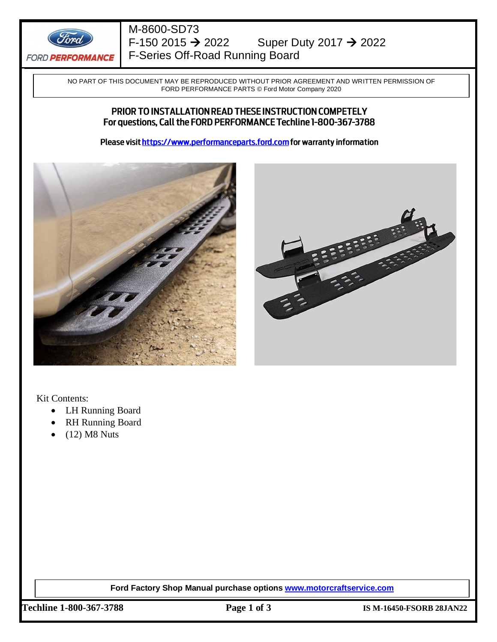

### M-8600-SD73 F-150 2015 → 2022Super Duty 2017 → 2022 F-Series Off-Road Running Board

NO PART OF THIS DOCUMENT MAY BE REPRODUCED WITHOUT PRIOR AGREEMENT AND WRITTEN PERMISSION OF FORD PERFORMANCE PARTS © Ford Motor Company 2020

#### PRIOR TO INSTALLATION READ THESE INSTRUCTION COMPETELY For questions, Call the FORD PERFORMANCE Techline 1-800-367-3788

Please visit https://www.performanceparts.ford.com for warranty information





Kit Contents:

- LH Running Board
- RH Running Board
- (12) M8 Nuts

**Ford Factory Shop Manual purchase options [www.motorcraftservice.com](http://www.motorcraftservice.com/)**

**Techline 1-800-367-3788 Page 1 of 3 IS M-16450-FSORB 28JAN22**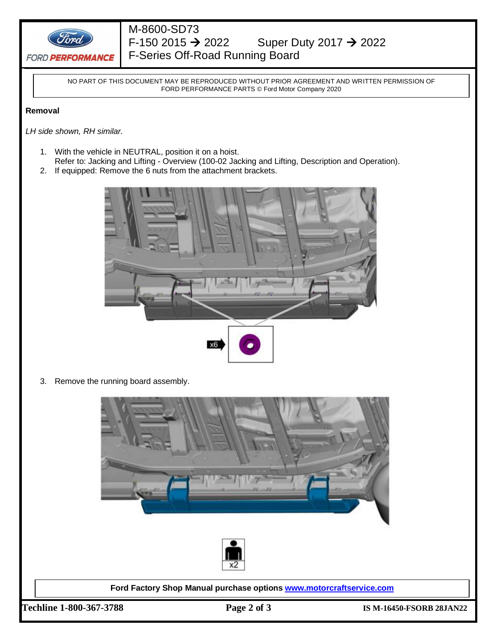

## M-8600-SD73<br>F-150 2015  $\rightarrow$  2022 Super Duty 2017 → 2022

F-Series Off-Road Running Board

NO PART OF THIS DOCUMENT MAY BE REPRODUCED WITHOUT PRIOR AGREEMENT AND WRITTEN PERMISSION OF FORD PERFORMANCE PARTS © Ford Motor Company 2020

#### **Removal**

*LH side shown, RH similar.* 

- 1. With the vehicle in NEUTRAL, position it on a hoist.
- Refer to: Jacking and Lifting Overview (100-02 Jacking and Lifting, Description and Operation).
- 2. If equipped: Remove the 6 nuts from the attachment brackets.



3. Remove the running board assembly.





**Ford Factory Shop Manual purchase options [www.motorcraftservice.com](http://www.motorcraftservice.com/)**

**Techline 1-800-367-3788 Page 2 of 3 IS M-16450-FSORB 28JAN22**